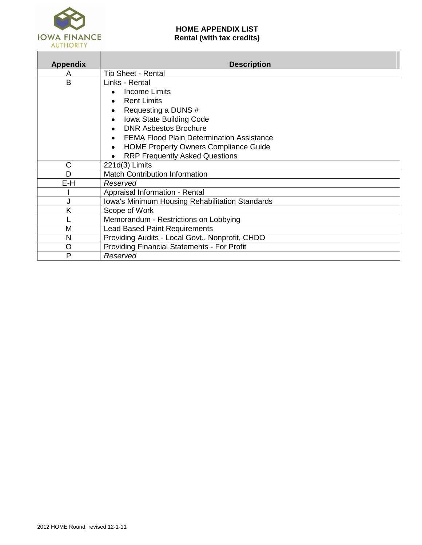

# **HOME APPENDIX LIST Rental (with tax credits)**

| <b>Appendix</b> | <b>Description</b>                                                                                                                                                                                                                                                                    |
|-----------------|---------------------------------------------------------------------------------------------------------------------------------------------------------------------------------------------------------------------------------------------------------------------------------------|
| A               | <b>Tip Sheet - Rental</b>                                                                                                                                                                                                                                                             |
| B               | Links - Rental<br>Income Limits<br><b>Rent Limits</b><br>Requesting a DUNS #<br>Iowa State Building Code<br><b>DNR Asbestos Brochure</b><br><b>FEMA Flood Plain Determination Assistance</b><br><b>HOME Property Owners Compliance Guide</b><br><b>RRP Frequently Asked Questions</b> |
| C               | 221d(3) Limits                                                                                                                                                                                                                                                                        |
| D               | <b>Match Contribution Information</b>                                                                                                                                                                                                                                                 |
| E-H             | Reserved                                                                                                                                                                                                                                                                              |
|                 | Appraisal Information - Rental                                                                                                                                                                                                                                                        |
|                 | Iowa's Minimum Housing Rehabilitation Standards                                                                                                                                                                                                                                       |
| K               | Scope of Work                                                                                                                                                                                                                                                                         |
|                 | Memorandum - Restrictions on Lobbying                                                                                                                                                                                                                                                 |
| M               | <b>Lead Based Paint Requirements</b>                                                                                                                                                                                                                                                  |
| N               | Providing Audits - Local Govt., Nonprofit, CHDO                                                                                                                                                                                                                                       |
| O               | <b>Providing Financial Statements - For Profit</b>                                                                                                                                                                                                                                    |
| P               | Reserved                                                                                                                                                                                                                                                                              |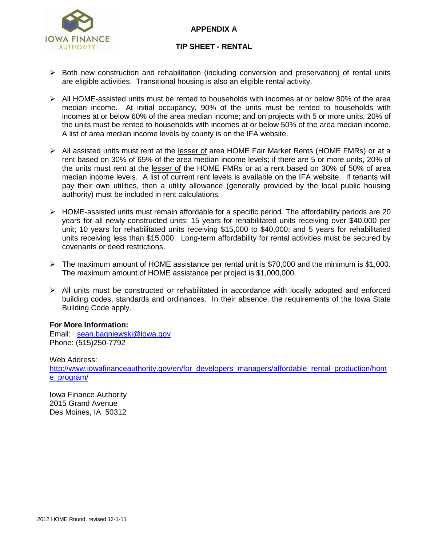# **APPENDIX A**



### **TIP SHEET - RENTAL**

- $\triangleright$  Both new construction and rehabilitation (including conversion and preservation) of rental units are eligible activities. Transitional housing is also an eligible rental activity.
- All HOME-assisted units must be rented to households with incomes at or below 80% of the area median income. At initial occupancy, 90% of the units must be rented to households with incomes at or below 60% of the area median income; and on projects with 5 or more units, 20% of the units must be rented to households with incomes at or below 50% of the area median income. A list of area median income levels by county is on the IFA website.
- All assisted units must rent at the lesser of area HOME Fair Market Rents (HOME FMRs) or at a rent based on 30% of 65% of the area median income levels; if there are 5 or more units, 20% of the units must rent at the lesser of the HOME FMRs or at a rent based on 30% of 50% of area median income levels. A list of current rent levels is available on the IFA website. If tenants will pay their own utilities, then a utility allowance (generally provided by the local public housing authority) must be included in rent calculations.
- $\triangleright$  HOME-assisted units must remain affordable for a specific period. The affordability periods are 20 years for all newly constructed units; 15 years for rehabilitated units receiving over \$40,000 per unit; 10 years for rehabilitated units receiving \$15,000 to \$40,000; and 5 years for rehabilitated units receiving less than \$15,000. Long-term affordability for rental activities must be secured by covenants or deed restrictions.
- The maximum amount of HOME assistance per rental unit is \$70,000 and the minimum is \$1,000. The maximum amount of HOME assistance per project is \$1,000,000.
- $\triangleright$  All units must be constructed or rehabilitated in accordance with locally adopted and enforced building codes, standards and ordinances. In their absence, the requirements of the Iowa State Building Code apply.

### **For More Information:**

Email: [sean.bagniewski@iowa.gov](mailto:sean.bagniewski@iowa.gov) Phone: (515)250-7792

Web Address: [http://www.iowafinanceauthority.gov/en/for\\_developers\\_managers/affordable\\_rental\\_production/hom](http://www.iowafinanceauthority.gov/en/for_developers_managers/affordable_rental_production/home_program/) [e\\_program/](http://www.iowafinanceauthority.gov/en/for_developers_managers/affordable_rental_production/home_program/)

Iowa Finance Authority 2015 Grand Avenue Des Moines, IA 50312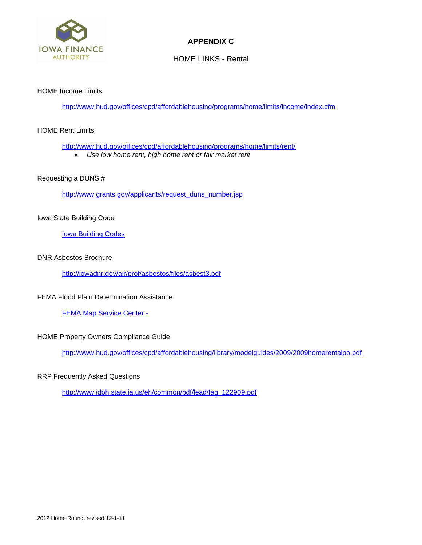

# **APPENDIX C**

HOME LINKS - Rental

### HOME Income Limits

<http://www.hud.gov/offices/cpd/affordablehousing/programs/home/limits/income/index.cfm>

#### HOME Rent Limits

<http://www.hud.gov/offices/cpd/affordablehousing/programs/home/limits/rent/>

*Use low home rent, high home rent or fair market rent*

### Requesting a DUNS #

[http://www.grants.gov/applicants/request\\_duns\\_number.jsp](http://www.grants.gov/applicants/request_duns_number.jsp)

### Iowa State Building Code

**[Iowa Building Codes](http://www.reedconstructiondata.com/building-codes/iowa/Xahj)** 

### DNR Asbestos Brochure

<http://iowadnr.gov/air/prof/asbestos/files/asbest3.pdf>

#### FEMA Flood Plain Determination Assistance

[FEMA Map Service Center -](http://msc.fema.gov/webapp/wcs/stores/servlet/FemaWelcomeView?storeId=10001&catalogId=10001&langId=-1)

### HOME Property Owners Compliance Guide

<http://www.hud.gov/offices/cpd/affordablehousing/library/modelguides/2009/2009homerentalpo.pdf>

#### RRP Frequently Asked Questions

[http://www.idph.state.ia.us/eh/common/pdf/lead/faq\\_122909.pdf](http://www.idph.state.ia.us/eh/common/pdf/lead/faq_122909.pdf)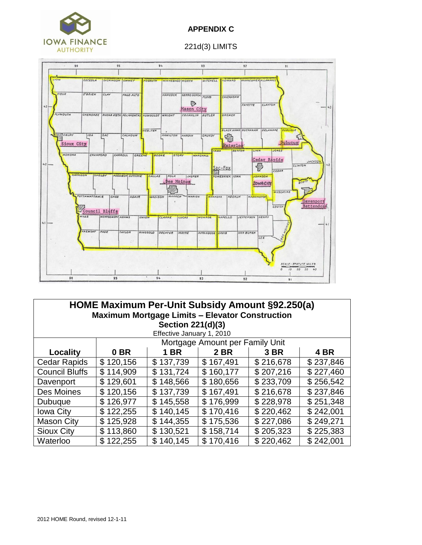

# **APPENDIX C**

### 221d(3) LIMITS



| HOME Maximum Per-Unit Subsidy Amount §92.250(a)<br><b>Maximum Mortgage Limits - Elevator Construction</b> |               |               |           |           |           |  |  |
|-----------------------------------------------------------------------------------------------------------|---------------|---------------|-----------|-----------|-----------|--|--|
| Section 221(d)(3)                                                                                         |               |               |           |           |           |  |  |
| Effective January 1, 2010<br>Mortgage Amount per Family Unit                                              |               |               |           |           |           |  |  |
| Locality                                                                                                  | 0 BR          | <b>1 BR</b>   | 2 BR      | 3 BR      | 4 BR      |  |  |
| <b>Cedar Rapids</b>                                                                                       | \$120,156     | \$137,739     | \$167,491 | \$216,678 | \$237,846 |  |  |
| <b>Council Bluffs</b>                                                                                     | \$114,909     | 131,724<br>\$ | \$160,177 | \$207,216 | \$227,460 |  |  |
| Davenport                                                                                                 | \$129,601     | 148,566<br>\$ | \$180,656 | \$233,709 | \$256,542 |  |  |
| Des Moines                                                                                                | \$120,156     | \$137,739     | \$167,491 | \$216,678 | \$237,846 |  |  |
| Dubuque                                                                                                   | \$126,977     | 145,558<br>\$ | \$176,999 | \$228,978 | \$251,348 |  |  |
| <b>Iowa City</b>                                                                                          | 122,255<br>\$ | 140,145<br>\$ | \$170,416 | \$220,462 | \$242,001 |  |  |
| <b>Mason City</b>                                                                                         | 125,928<br>\$ | 144,355<br>\$ | \$175,536 | \$227,086 | \$249,271 |  |  |
| <b>Sioux City</b>                                                                                         | \$113,860     | 130,521<br>\$ | \$158,714 | \$205,323 | \$225,383 |  |  |
| Waterloo                                                                                                  | \$122,255     | 140,145<br>\$ | \$170,416 | \$220,462 | \$242,001 |  |  |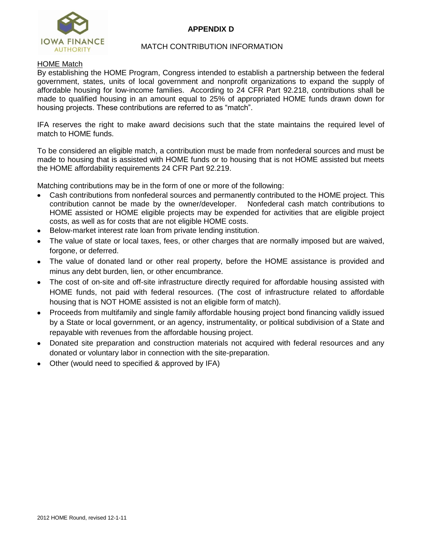# **APPENDIX D**



### MATCH CONTRIBUTION INFORMATION

### HOME Match

By establishing the HOME Program, Congress intended to establish a partnership between the federal government, states, units of local government and nonprofit organizations to expand the supply of affordable housing for low-income families. According to 24 CFR Part 92.218, contributions shall be made to qualified housing in an amount equal to 25% of appropriated HOME funds drawn down for housing projects. These contributions are referred to as "match".

IFA reserves the right to make award decisions such that the state maintains the required level of match to HOME funds.

To be considered an eligible match, a contribution must be made from nonfederal sources and must be made to housing that is assisted with HOME funds or to housing that is not HOME assisted but meets the HOME affordability requirements 24 CFR Part 92.219.

Matching contributions may be in the form of one or more of the following:

- Cash contributions from nonfederal sources and permanently contributed to the HOME project. This contribution cannot be made by the owner/developer. Nonfederal cash match contributions to HOME assisted or HOME eligible projects may be expended for activities that are eligible project costs, as well as for costs that are not eligible HOME costs.
- Below-market interest rate loan from private lending institution.
- The value of state or local taxes, fees, or other charges that are normally imposed but are waived, forgone, or deferred.
- The value of donated land or other real property, before the HOME assistance is provided and minus any debt burden, lien, or other encumbrance.
- The cost of on-site and off-site infrastructure directly required for affordable housing assisted with HOME funds, not paid with federal resources. (The cost of infrastructure related to affordable housing that is NOT HOME assisted is not an eligible form of match).
- Proceeds from multifamily and single family affordable housing project bond financing validly issued by a State or local government, or an agency, instrumentality, or political subdivision of a State and repayable with revenues from the affordable housing project.
- Donated site preparation and construction materials not acquired with federal resources and any donated or voluntary labor in connection with the site-preparation.
- Other (would need to specified & approved by IFA)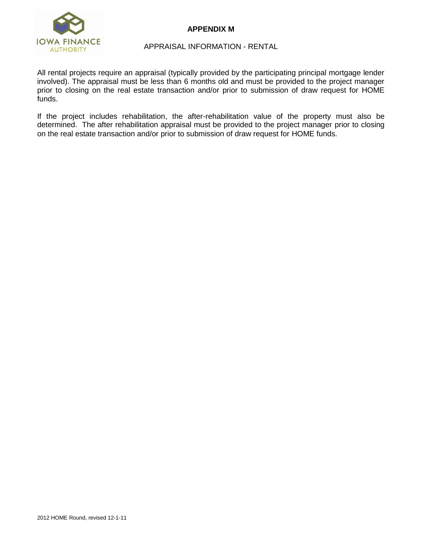

# **APPENDIX M**

### APPRAISAL INFORMATION - RENTAL

All rental projects require an appraisal (typically provided by the participating principal mortgage lender involved). The appraisal must be less than 6 months old and must be provided to the project manager prior to closing on the real estate transaction and/or prior to submission of draw request for HOME funds.

If the project includes rehabilitation, the after-rehabilitation value of the property must also be determined. The after rehabilitation appraisal must be provided to the project manager prior to closing on the real estate transaction and/or prior to submission of draw request for HOME funds.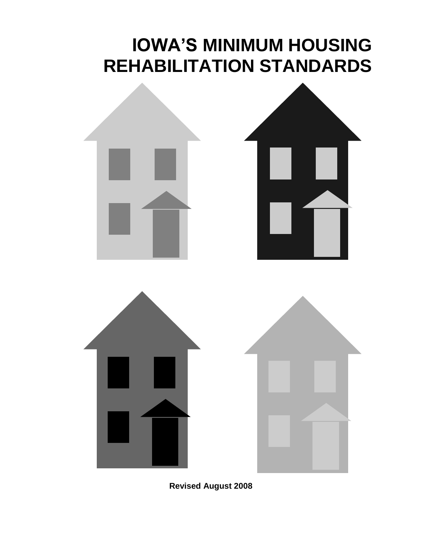# **IOWA'S MINIMUM HOUSING REHABILITATION STANDARDS**



**Revised August 2008**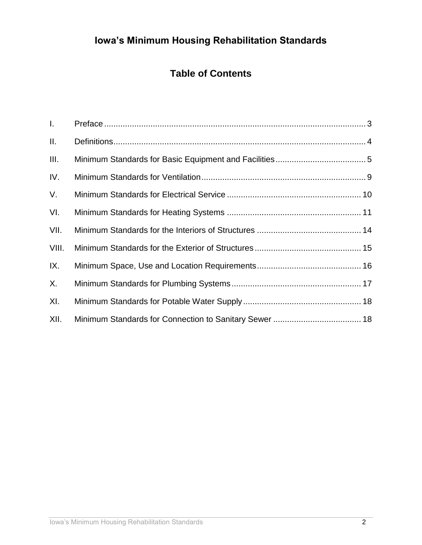# **Iowa's Minimum Housing Rehabilitation Standards**

# **Table of Contents**

<span id="page-7-0"></span>

| $\mathbf{L}$ |  |
|--------------|--|
| $\Pi$ .      |  |
| III.         |  |
| IV.          |  |
| V.           |  |
| VI.          |  |
| VII.         |  |
| VIII.        |  |
| IX.          |  |
| X.           |  |
| XI.          |  |
| XII.         |  |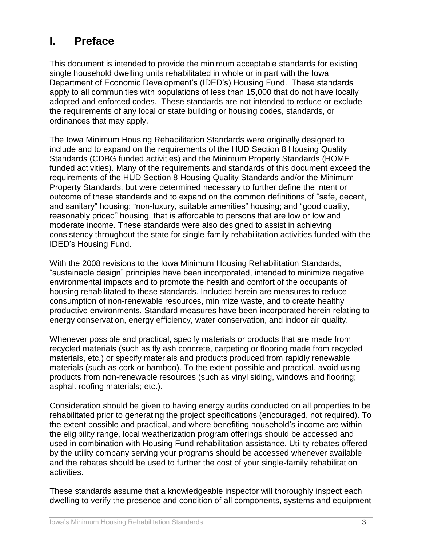# **I. Preface**

This document is intended to provide the minimum acceptable standards for existing single household dwelling units rehabilitated in whole or in part with the Iowa Department of Economic Development's (IDED's) Housing Fund. These standards apply to all communities with populations of less than 15,000 that do not have locally adopted and enforced codes. These standards are not intended to reduce or exclude the requirements of any local or state building or housing codes, standards, or ordinances that may apply.

The Iowa Minimum Housing Rehabilitation Standards were originally designed to include and to expand on the requirements of the HUD Section 8 Housing Quality Standards (CDBG funded activities) and the Minimum Property Standards (HOME funded activities). Many of the requirements and standards of this document exceed the requirements of the HUD Section 8 Housing Quality Standards and/or the Minimum Property Standards, but were determined necessary to further define the intent or outcome of these standards and to expand on the common definitions of "safe, decent, and sanitary" housing; "non-luxury, suitable amenities" housing; and "good quality, reasonably priced" housing, that is affordable to persons that are low or low and moderate income. These standards were also designed to assist in achieving consistency throughout the state for single-family rehabilitation activities funded with the IDED's Housing Fund.

With the 2008 revisions to the Iowa Minimum Housing Rehabilitation Standards, "sustainable design" principles have been incorporated, intended to minimize negative environmental impacts and to promote the health and comfort of the occupants of housing rehabilitated to these standards. Included herein are measures to reduce consumption of non-renewable resources, minimize waste, and to create healthy productive environments. Standard measures have been incorporated herein relating to energy conservation, energy efficiency, water conservation, and indoor air quality.

Whenever possible and practical, specify materials or products that are made from recycled materials (such as fly ash concrete, carpeting or flooring made from recycled materials, etc.) or specify materials and products produced from rapidly renewable materials (such as cork or bamboo). To the extent possible and practical, avoid using products from non-renewable resources (such as vinyl siding, windows and flooring; asphalt roofing materials; etc.).

Consideration should be given to having energy audits conducted on all properties to be rehabilitated prior to generating the project specifications (encouraged, not required). To the extent possible and practical, and where benefiting household's income are within the eligibility range, local weatherization program offerings should be accessed and used in combination with Housing Fund rehabilitation assistance. Utility rebates offered by the utility company serving your programs should be accessed whenever available and the rebates should be used to further the cost of your single-family rehabilitation activities.

These standards assume that a knowledgeable inspector will thoroughly inspect each dwelling to verify the presence and condition of all components, systems and equipment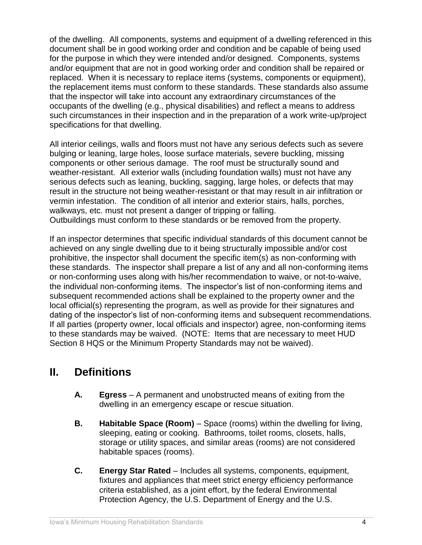of the dwelling. All components, systems and equipment of a dwelling referenced in this document shall be in good working order and condition and be capable of being used for the purpose in which they were intended and/or designed. Components, systems and/or equipment that are not in good working order and condition shall be repaired or replaced. When it is necessary to replace items (systems, components or equipment), the replacement items must conform to these standards. These standards also assume that the inspector will take into account any extraordinary circumstances of the occupants of the dwelling (e.g., physical disabilities) and reflect a means to address such circumstances in their inspection and in the preparation of a work write-up/project specifications for that dwelling.

All interior ceilings, walls and floors must not have any serious defects such as severe bulging or leaning, large holes, loose surface materials, severe buckling, missing components or other serious damage. The roof must be structurally sound and weather-resistant. All exterior walls (including foundation walls) must not have any serious defects such as leaning, buckling, sagging, large holes, or defects that may result in the structure not being weather-resistant or that may result in air infiltration or vermin infestation. The condition of all interior and exterior stairs, halls, porches, walkways, etc. must not present a danger of tripping or falling. Outbuildings must conform to these standards or be removed from the property.

If an inspector determines that specific individual standards of this document cannot be achieved on any single dwelling due to it being structurally impossible and/or cost prohibitive, the inspector shall document the specific item(s) as non-conforming with these standards. The inspector shall prepare a list of any and all non-conforming items or non-conforming uses along with his/her recommendation to waive, or not-to-waive, the individual non-conforming items. The inspector's list of non-conforming items and subsequent recommended actions shall be explained to the property owner and the local official(s) representing the program, as well as provide for their signatures and dating of the inspector's list of non-conforming items and subsequent recommendations. If all parties (property owner, local officials and inspector) agree, non-conforming items to these standards may be waived. (NOTE: Items that are necessary to meet HUD Section 8 HQS or the Minimum Property Standards may not be waived).

# <span id="page-9-0"></span>**II. Definitions**

- **A. Egress** A permanent and unobstructed means of exiting from the dwelling in an emergency escape or rescue situation.
- **B. Habitable Space (Room)** Space (rooms) within the dwelling for living, sleeping, eating or cooking. Bathrooms, toilet rooms, closets, halls, storage or utility spaces, and similar areas (rooms) are not considered habitable spaces (rooms).
- **C. Energy Star Rated** Includes all systems, components, equipment, fixtures and appliances that meet strict energy efficiency performance criteria established, as a joint effort, by the federal Environmental Protection Agency, the U.S. Department of Energy and the U.S.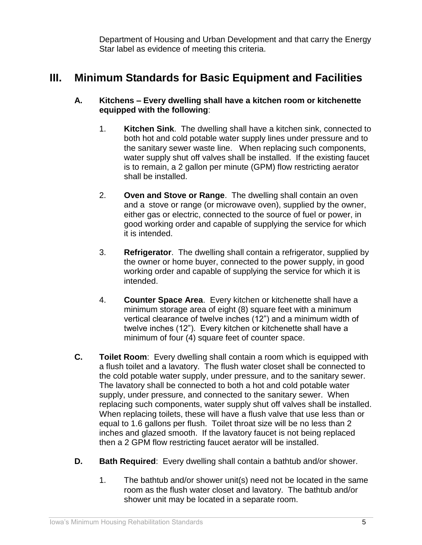Department of Housing and Urban Development and that carry the Energy Star label as evidence of meeting this criteria.

# <span id="page-10-0"></span>**III. Minimum Standards for Basic Equipment and Facilities**

# **A. Kitchens – Every dwelling shall have a kitchen room or kitchenette equipped with the following**:

- 1. **Kitchen Sink**. The dwelling shall have a kitchen sink, connected to both hot and cold potable water supply lines under pressure and to the sanitary sewer waste line. When replacing such components, water supply shut off valves shall be installed. If the existing faucet is to remain, a 2 gallon per minute (GPM) flow restricting aerator shall be installed.
- 2. **Oven and Stove or Range**. The dwelling shall contain an oven and a stove or range (or microwave oven), supplied by the owner, either gas or electric, connected to the source of fuel or power, in good working order and capable of supplying the service for which it is intended.
- 3. **Refrigerator**. The dwelling shall contain a refrigerator, supplied by the owner or home buyer, connected to the power supply, in good working order and capable of supplying the service for which it is intended.
- 4. **Counter Space Area**. Every kitchen or kitchenette shall have a minimum storage area of eight (8) square feet with a minimum vertical clearance of twelve inches (12") and a minimum width of twelve inches (12"). Every kitchen or kitchenette shall have a minimum of four (4) square feet of counter space.
- **C. Toilet Room**: Every dwelling shall contain a room which is equipped with a flush toilet and a lavatory. The flush water closet shall be connected to the cold potable water supply, under pressure, and to the sanitary sewer. The lavatory shall be connected to both a hot and cold potable water supply, under pressure, and connected to the sanitary sewer. When replacing such components, water supply shut off valves shall be installed. When replacing toilets, these will have a flush valve that use less than or equal to 1.6 gallons per flush. Toilet throat size will be no less than 2 inches and glazed smooth. If the lavatory faucet is not being replaced then a 2 GPM flow restricting faucet aerator will be installed.
- **D. Bath Required**: Every dwelling shall contain a bathtub and/or shower.
	- 1. The bathtub and/or shower unit(s) need not be located in the same room as the flush water closet and lavatory. The bathtub and/or shower unit may be located in a separate room.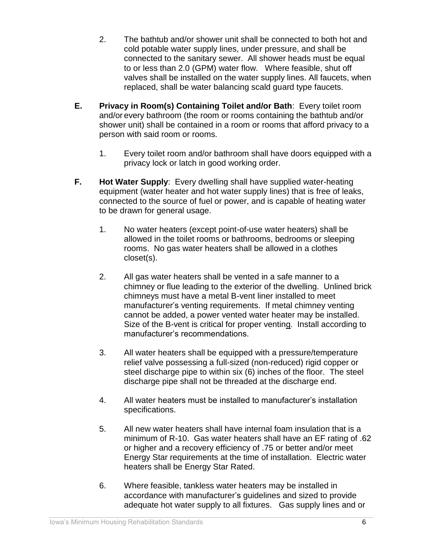- 2. The bathtub and/or shower unit shall be connected to both hot and cold potable water supply lines, under pressure, and shall be connected to the sanitary sewer. All shower heads must be equal to or less than 2.0 (GPM) water flow. Where feasible, shut off valves shall be installed on the water supply lines. All faucets, when replaced, shall be water balancing scald guard type faucets.
- **E. Privacy in Room(s) Containing Toilet and/or Bath**: Every toilet room and/or every bathroom (the room or rooms containing the bathtub and/or shower unit) shall be contained in a room or rooms that afford privacy to a person with said room or rooms.
	- 1. Every toilet room and/or bathroom shall have doors equipped with a privacy lock or latch in good working order.
- **F. Hot Water Supply**: Every dwelling shall have supplied water-heating equipment (water heater and hot water supply lines) that is free of leaks, connected to the source of fuel or power, and is capable of heating water to be drawn for general usage.
	- 1. No water heaters (except point-of-use water heaters) shall be allowed in the toilet rooms or bathrooms, bedrooms or sleeping rooms. No gas water heaters shall be allowed in a clothes closet(s).
	- 2. All gas water heaters shall be vented in a safe manner to a chimney or flue leading to the exterior of the dwelling. Unlined brick chimneys must have a metal B-vent liner installed to meet manufacturer's venting requirements. If metal chimney venting cannot be added, a power vented water heater may be installed. Size of the B-vent is critical for proper venting. Install according to manufacturer's recommendations.
	- 3. All water heaters shall be equipped with a pressure/temperature relief valve possessing a full-sized (non-reduced) rigid copper or steel discharge pipe to within six (6) inches of the floor. The steel discharge pipe shall not be threaded at the discharge end.
	- 4. All water heaters must be installed to manufacturer's installation specifications.
	- 5. All new water heaters shall have internal foam insulation that is a minimum of R-10. Gas water heaters shall have an EF rating of .62 or higher and a recovery efficiency of .75 or better and/or meet Energy Star requirements at the time of installation. Electric water heaters shall be Energy Star Rated.
	- 6. Where feasible, tankless water heaters may be installed in accordance with manufacturer's guidelines and sized to provide adequate hot water supply to all fixtures. Gas supply lines and or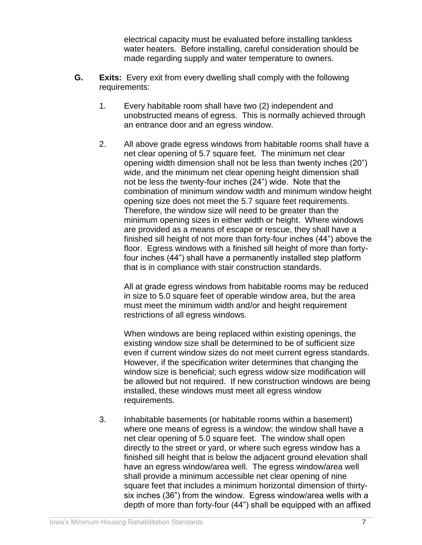electrical capacity must be evaluated before installing tankless water heaters. Before installing, careful consideration should be made regarding supply and water temperature to owners.

- **G. Exits:** Every exit from every dwelling shall comply with the following requirements:
	- 1. Every habitable room shall have two (2) independent and unobstructed means of egress. This is normally achieved through an entrance door and an egress window.
	- 2. All above grade egress windows from habitable rooms shall have a net clear opening of 5.7 square feet. The minimum net clear opening width dimension shall not be less than twenty inches (20") wide, and the minimum net clear opening height dimension shall not be less the twenty-four inches (24") wide. Note that the combination of minimum window width and minimum window height opening size does not meet the 5.7 square feet requirements. Therefore, the window size will need to be greater than the minimum opening sizes in either width or height. Where windows are provided as a means of escape or rescue, they shall have a finished sill height of not more than forty-four inches (44") above the floor. Egress windows with a finished sill height of more than fortyfour inches (44") shall have a permanently installed step platform that is in compliance with stair construction standards.

All at grade egress windows from habitable rooms may be reduced in size to 5.0 square feet of operable window area, but the area must meet the minimum width and/or and height requirement restrictions of all egress windows.

When windows are being replaced within existing openings, the existing window size shall be determined to be of sufficient size even if current window sizes do not meet current egress standards. However, if the specification writer determines that changing the window size is beneficial; such egress widow size modification will be allowed but not required. If new construction windows are being installed, these windows must meet all egress window requirements.

3. Inhabitable basements (or habitable rooms within a basement) where one means of egress is a window; the window shall have a net clear opening of 5.0 square feet. The window shall open directly to the street or yard, or where such egress window has a finished sill height that is below the adjacent ground elevation shall have an egress window/area well. The egress window/area well shall provide a minimum accessible net clear opening of nine square feet that includes a minimum horizontal dimension of thirtysix inches (36") from the window. Egress window/area wells with a depth of more than forty-four (44") shall be equipped with an affixed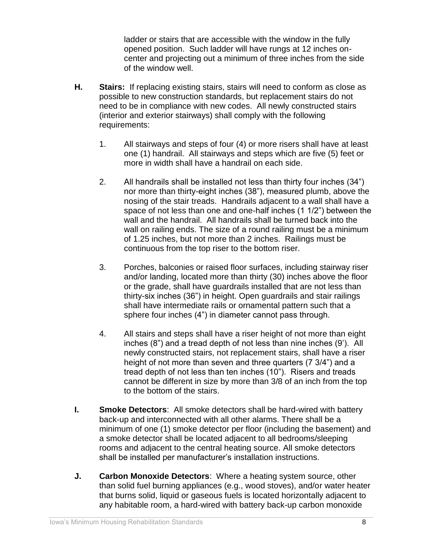ladder or stairs that are accessible with the window in the fully opened position. Such ladder will have rungs at 12 inches oncenter and projecting out a minimum of three inches from the side of the window well.

- **H. Stairs:** If replacing existing stairs, stairs will need to conform as close as possible to new construction standards, but replacement stairs do not need to be in compliance with new codes. All newly constructed stairs (interior and exterior stairways) shall comply with the following requirements:
	- 1. All stairways and steps of four (4) or more risers shall have at least one (1) handrail. All stairways and steps which are five (5) feet or more in width shall have a handrail on each side.
	- 2. All handrails shall be installed not less than thirty four inches (34") nor more than thirty-eight inches (38"), measured plumb, above the nosing of the stair treads. Handrails adjacent to a wall shall have a space of not less than one and one-half inches (1 1/2") between the wall and the handrail. All handrails shall be turned back into the wall on railing ends. The size of a round railing must be a minimum of 1.25 inches, but not more than 2 inches. Railings must be continuous from the top riser to the bottom riser.
	- 3. Porches, balconies or raised floor surfaces, including stairway riser and/or landing, located more than thirty (30) inches above the floor or the grade, shall have guardrails installed that are not less than thirty-six inches (36") in height. Open guardrails and stair railings shall have intermediate rails or ornamental pattern such that a sphere four inches (4") in diameter cannot pass through.
	- 4. All stairs and steps shall have a riser height of not more than eight inches (8") and a tread depth of not less than nine inches (9'). All newly constructed stairs, not replacement stairs, shall have a riser height of not more than seven and three quarters (7 3/4") and a tread depth of not less than ten inches (10"). Risers and treads cannot be different in size by more than 3/8 of an inch from the top to the bottom of the stairs.
- **I. Smoke Detectors**: All smoke detectors shall be hard-wired with battery back-up and interconnected with all other alarms. There shall be a minimum of one (1) smoke detector per floor (including the basement) and a smoke detector shall be located adjacent to all bedrooms/sleeping rooms and adjacent to the central heating source. All smoke detectors shall be installed per manufacturer's installation instructions.
- **J. Carbon Monoxide Detectors**: Where a heating system source, other than solid fuel burning appliances (e.g., wood stoves), and/or water heater that burns solid, liquid or gaseous fuels is located horizontally adjacent to any habitable room, a hard-wired with battery back-up carbon monoxide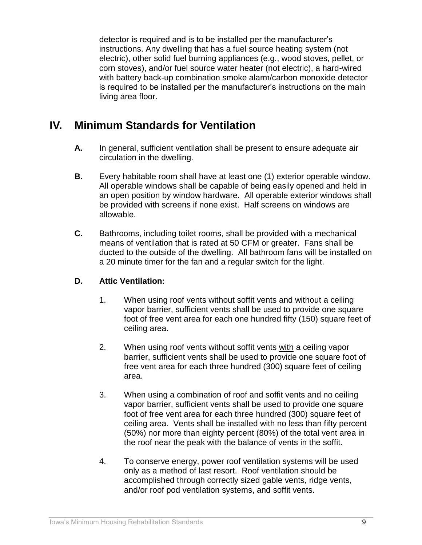detector is required and is to be installed per the manufacturer's instructions. Any dwelling that has a fuel source heating system (not electric), other solid fuel burning appliances (e.g., wood stoves, pellet, or corn stoves), and/or fuel source water heater (not electric), a hard-wired with battery back-up combination smoke alarm/carbon monoxide detector is required to be installed per the manufacturer's instructions on the main living area floor.

# <span id="page-14-0"></span>**IV. Minimum Standards for Ventilation**

- **A.** In general, sufficient ventilation shall be present to ensure adequate air circulation in the dwelling.
- **B.** Every habitable room shall have at least one (1) exterior operable window. All operable windows shall be capable of being easily opened and held in an open position by window hardware. All operable exterior windows shall be provided with screens if none exist. Half screens on windows are allowable.
- **C.** Bathrooms, including toilet rooms, shall be provided with a mechanical means of ventilation that is rated at 50 CFM or greater. Fans shall be ducted to the outside of the dwelling. All bathroom fans will be installed on a 20 minute timer for the fan and a regular switch for the light.

# **D. Attic Ventilation:**

- 1. When using roof vents without soffit vents and without a ceiling vapor barrier, sufficient vents shall be used to provide one square foot of free vent area for each one hundred fifty (150) square feet of ceiling area.
- 2. When using roof vents without soffit vents with a ceiling vapor barrier, sufficient vents shall be used to provide one square foot of free vent area for each three hundred (300) square feet of ceiling area.
- 3. When using a combination of roof and soffit vents and no ceiling vapor barrier, sufficient vents shall be used to provide one square foot of free vent area for each three hundred (300) square feet of ceiling area. Vents shall be installed with no less than fifty percent (50%) nor more than eighty percent (80%) of the total vent area in the roof near the peak with the balance of vents in the soffit.
- 4. To conserve energy, power roof ventilation systems will be used only as a method of last resort. Roof ventilation should be accomplished through correctly sized gable vents, ridge vents, and/or roof pod ventilation systems, and soffit vents.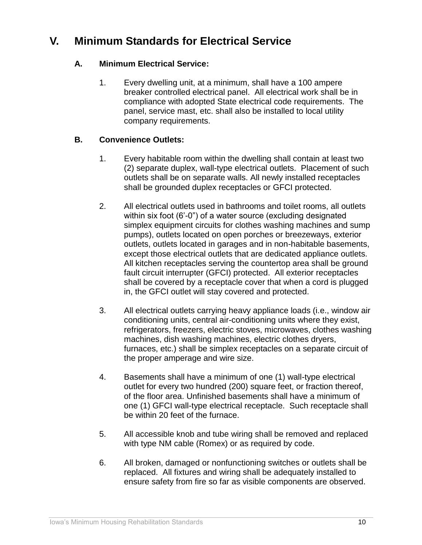# <span id="page-15-0"></span>**V. Minimum Standards for Electrical Service**

# **A. Minimum Electrical Service:**

1. Every dwelling unit, at a minimum, shall have a 100 ampere breaker controlled electrical panel. All electrical work shall be in compliance with adopted State electrical code requirements. The panel, service mast, etc. shall also be installed to local utility company requirements.

# **B. Convenience Outlets:**

- 1. Every habitable room within the dwelling shall contain at least two (2) separate duplex, wall-type electrical outlets. Placement of such outlets shall be on separate walls. All newly installed receptacles shall be grounded duplex receptacles or GFCI protected.
- 2. All electrical outlets used in bathrooms and toilet rooms, all outlets within six foot (6'-0") of a water source (excluding designated simplex equipment circuits for clothes washing machines and sump pumps), outlets located on open porches or breezeways, exterior outlets, outlets located in garages and in non-habitable basements, except those electrical outlets that are dedicated appliance outlets. All kitchen receptacles serving the countertop area shall be ground fault circuit interrupter (GFCI) protected. All exterior receptacles shall be covered by a receptacle cover that when a cord is plugged in, the GFCI outlet will stay covered and protected.
- 3. All electrical outlets carrying heavy appliance loads (i.e., window air conditioning units, central air-conditioning units where they exist, refrigerators, freezers, electric stoves, microwaves, clothes washing machines, dish washing machines, electric clothes dryers, furnaces, etc.) shall be simplex receptacles on a separate circuit of the proper amperage and wire size.
- 4. Basements shall have a minimum of one (1) wall-type electrical outlet for every two hundred (200) square feet, or fraction thereof, of the floor area. Unfinished basements shall have a minimum of one (1) GFCI wall-type electrical receptacle. Such receptacle shall be within 20 feet of the furnace.
- 5. All accessible knob and tube wiring shall be removed and replaced with type NM cable (Romex) or as required by code.
- 6. All broken, damaged or nonfunctioning switches or outlets shall be replaced. All fixtures and wiring shall be adequately installed to ensure safety from fire so far as visible components are observed.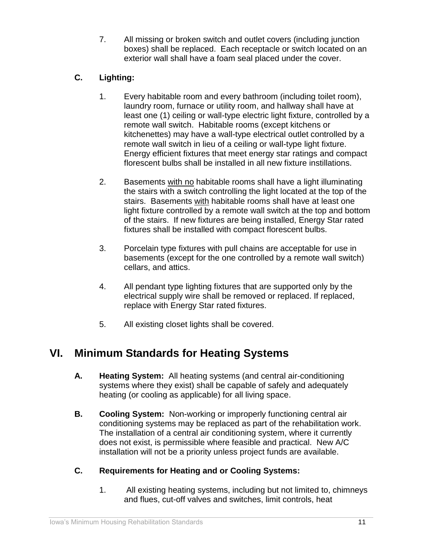7. All missing or broken switch and outlet covers (including junction boxes) shall be replaced. Each receptacle or switch located on an exterior wall shall have a foam seal placed under the cover.

# **C. Lighting:**

- 1. Every habitable room and every bathroom (including toilet room), laundry room, furnace or utility room, and hallway shall have at least one (1) ceiling or wall-type electric light fixture, controlled by a remote wall switch. Habitable rooms (except kitchens or kitchenettes) may have a wall-type electrical outlet controlled by a remote wall switch in lieu of a ceiling or wall-type light fixture. Energy efficient fixtures that meet energy star ratings and compact florescent bulbs shall be installed in all new fixture instillations.
- 2. Basements with no habitable rooms shall have a light illuminating the stairs with a switch controlling the light located at the top of the stairs. Basements with habitable rooms shall have at least one light fixture controlled by a remote wall switch at the top and bottom of the stairs. If new fixtures are being installed, Energy Star rated fixtures shall be installed with compact florescent bulbs.
- 3. Porcelain type fixtures with pull chains are acceptable for use in basements (except for the one controlled by a remote wall switch) cellars, and attics.
- 4. All pendant type lighting fixtures that are supported only by the electrical supply wire shall be removed or replaced. If replaced, replace with Energy Star rated fixtures.
- 5. All existing closet lights shall be covered.

# <span id="page-16-0"></span>**VI. Minimum Standards for Heating Systems**

- **A. Heating System:** All heating systems (and central air-conditioning systems where they exist) shall be capable of safely and adequately heating (or cooling as applicable) for all living space.
- **B. Cooling System:** Non-working or improperly functioning central air conditioning systems may be replaced as part of the rehabilitation work. The installation of a central air conditioning system, where it currently does not exist, is permissible where feasible and practical. New A/C installation will not be a priority unless project funds are available.

# **C. Requirements for Heating and or Cooling Systems:**

1. All existing heating systems, including but not limited to, chimneys and flues, cut-off valves and switches, limit controls, heat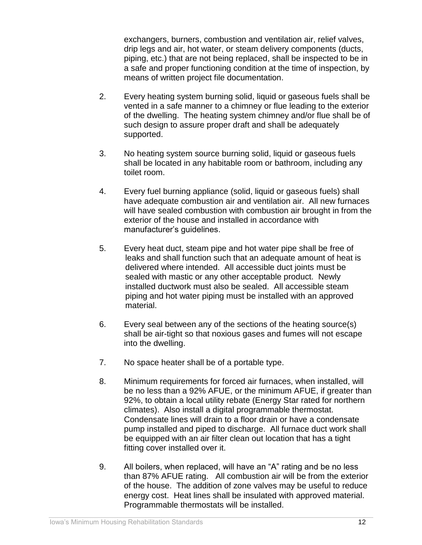exchangers, burners, combustion and ventilation air, relief valves, drip legs and air, hot water, or steam delivery components (ducts, piping, etc.) that are not being replaced, shall be inspected to be in a safe and proper functioning condition at the time of inspection, by means of written project file documentation.

- 2. Every heating system burning solid, liquid or gaseous fuels shall be vented in a safe manner to a chimney or flue leading to the exterior of the dwelling. The heating system chimney and/or flue shall be of such design to assure proper draft and shall be adequately supported.
- 3. No heating system source burning solid, liquid or gaseous fuels shall be located in any habitable room or bathroom, including any toilet room.
- 4. Every fuel burning appliance (solid, liquid or gaseous fuels) shall have adequate combustion air and ventilation air. All new furnaces will have sealed combustion with combustion air brought in from the exterior of the house and installed in accordance with manufacturer's guidelines.
- 5. Every heat duct, steam pipe and hot water pipe shall be free of leaks and shall function such that an adequate amount of heat is delivered where intended. All accessible duct joints must be sealed with mastic or any other acceptable product. Newly installed ductwork must also be sealed. All accessible steam piping and hot water piping must be installed with an approved material.
- 6. Every seal between any of the sections of the heating source(s) shall be air-tight so that noxious gases and fumes will not escape into the dwelling.
- 7. No space heater shall be of a portable type.
- 8. Minimum requirements for forced air furnaces, when installed, will be no less than a 92% AFUE, or the minimum AFUE, if greater than 92%, to obtain a local utility rebate (Energy Star rated for northern climates). Also install a digital programmable thermostat. Condensate lines will drain to a floor drain or have a condensate pump installed and piped to discharge. All furnace duct work shall be equipped with an air filter clean out location that has a tight fitting cover installed over it.
- 9. All boilers, when replaced, will have an "A" rating and be no less than 87% AFUE rating. All combustion air will be from the exterior of the house. The addition of zone valves may be useful to reduce energy cost. Heat lines shall be insulated with approved material. Programmable thermostats will be installed.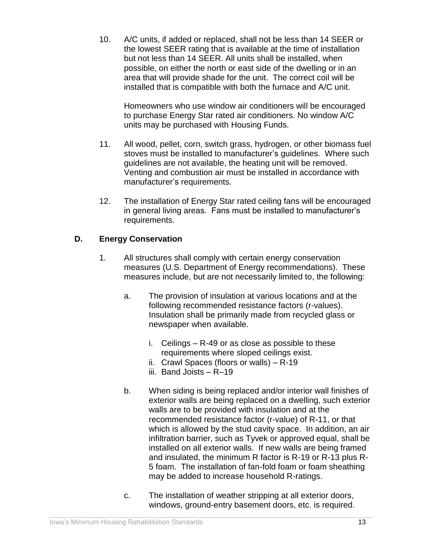10. A/C units, if added or replaced, shall not be less than 14 SEER or the lowest SEER rating that is available at the time of installation but not less than 14 SEER. All units shall be installed, when possible, on either the north or east side of the dwelling or in an area that will provide shade for the unit. The correct coil will be installed that is compatible with both the furnace and A/C unit.

Homeowners who use window air conditioners will be encouraged to purchase Energy Star rated air conditioners. No window A/C units may be purchased with Housing Funds.

- 11. All wood, pellet, corn, switch grass, hydrogen, or other biomass fuel stoves must be installed to manufacturer's guidelines. Where such guidelines are not available, the heating unit will be removed. Venting and combustion air must be installed in accordance with manufacturer's requirements.
- 12. The installation of Energy Star rated ceiling fans will be encouraged in general living areas. Fans must be installed to manufacturer's requirements.

# **D. Energy Conservation**

- 1. All structures shall comply with certain energy conservation measures (U.S. Department of Energy recommendations). These measures include, but are not necessarily limited to, the following:
	- a. The provision of insulation at various locations and at the following recommended resistance factors (r-values). Insulation shall be primarily made from recycled glass or newspaper when available.
		- i. Ceilings R-49 or as close as possible to these requirements where sloped ceilings exist.
		- ii. Crawl Spaces (floors or walls) R-19
		- iii. Band Joists R–19
	- b. When siding is being replaced and/or interior wall finishes of exterior walls are being replaced on a dwelling, such exterior walls are to be provided with insulation and at the recommended resistance factor (r-value) of R-11, or that which is allowed by the stud cavity space. In addition, an air infiltration barrier, such as Tyvek or approved equal, shall be installed on all exterior walls. If new walls are being framed and insulated, the minimum R factor is R-19 or R-13 plus R-5 foam. The installation of fan-fold foam or foam sheathing may be added to increase household R-ratings.
	- c. The installation of weather stripping at all exterior doors, windows, ground-entry basement doors, etc. is required.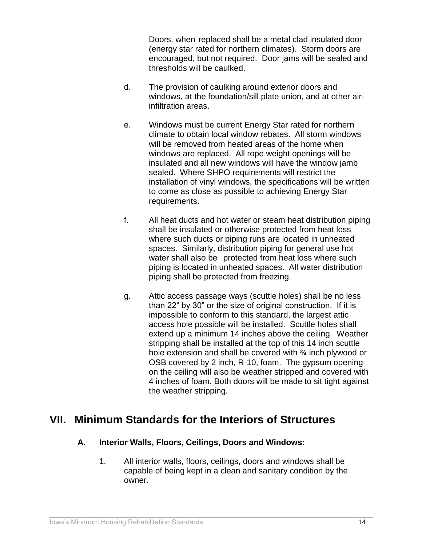Doors, when replaced shall be a metal clad insulated door (energy star rated for northern climates). Storm doors are encouraged, but not required. Door jams will be sealed and thresholds will be caulked.

- d. The provision of caulking around exterior doors and windows, at the foundation/sill plate union, and at other airinfiltration areas.
- e. Windows must be current Energy Star rated for northern climate to obtain local window rebates. All storm windows will be removed from heated areas of the home when windows are replaced. All rope weight openings will be insulated and all new windows will have the window jamb sealed. Where SHPO requirements will restrict the installation of vinyl windows, the specifications will be written to come as close as possible to achieving Energy Star requirements.
- f. All heat ducts and hot water or steam heat distribution piping shall be insulated or otherwise protected from heat loss where such ducts or piping runs are located in unheated spaces. Similarly, distribution piping for general use hot water shall also be protected from heat loss where such piping is located in unheated spaces. All water distribution piping shall be protected from freezing.
- g. Attic access passage ways (scuttle holes) shall be no less than 22" by 30" or the size of original construction. If it is impossible to conform to this standard, the largest attic access hole possible will be installed. Scuttle holes shall extend up a minimum 14 inches above the ceiling. Weather stripping shall be installed at the top of this 14 inch scuttle hole extension and shall be covered with <sup>3</sup>/<sub>4</sub> inch plywood or OSB covered by 2 inch, R-10, foam. The gypsum opening on the ceiling will also be weather stripped and covered with 4 inches of foam. Both doors will be made to sit tight against the weather stripping.

# <span id="page-19-0"></span>**VII. Minimum Standards for the Interiors of Structures**

# **A. Interior Walls, Floors, Ceilings, Doors and Windows:**

1. All interior walls, floors, ceilings, doors and windows shall be capable of being kept in a clean and sanitary condition by the owner.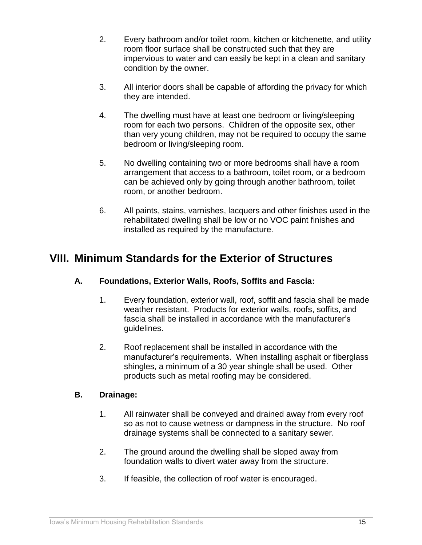- 2. Every bathroom and/or toilet room, kitchen or kitchenette, and utility room floor surface shall be constructed such that they are impervious to water and can easily be kept in a clean and sanitary condition by the owner.
- 3. All interior doors shall be capable of affording the privacy for which they are intended.
- 4. The dwelling must have at least one bedroom or living/sleeping room for each two persons. Children of the opposite sex, other than very young children, may not be required to occupy the same bedroom or living/sleeping room.
- 5. No dwelling containing two or more bedrooms shall have a room arrangement that access to a bathroom, toilet room, or a bedroom can be achieved only by going through another bathroom, toilet room, or another bedroom.
- 6. All paints, stains, varnishes, lacquers and other finishes used in the rehabilitated dwelling shall be low or no VOC paint finishes and installed as required by the manufacture.

# <span id="page-20-0"></span>**VIII. Minimum Standards for the Exterior of Structures**

# **A. Foundations, Exterior Walls, Roofs, Soffits and Fascia:**

- 1. Every foundation, exterior wall, roof, soffit and fascia shall be made weather resistant. Products for exterior walls, roofs, soffits, and fascia shall be installed in accordance with the manufacturer's guidelines.
- 2. Roof replacement shall be installed in accordance with the manufacturer's requirements. When installing asphalt or fiberglass shingles, a minimum of a 30 year shingle shall be used. Other products such as metal roofing may be considered.

# **B. Drainage:**

- 1. All rainwater shall be conveyed and drained away from every roof so as not to cause wetness or dampness in the structure. No roof drainage systems shall be connected to a sanitary sewer.
- 2. The ground around the dwelling shall be sloped away from foundation walls to divert water away from the structure.
- 3. If feasible, the collection of roof water is encouraged.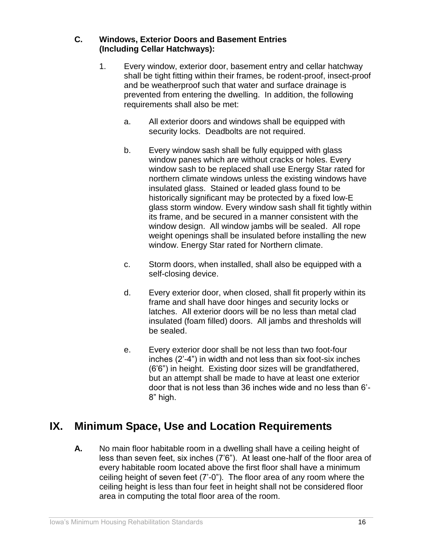# **C. Windows, Exterior Doors and Basement Entries (Including Cellar Hatchways):**

- 1. Every window, exterior door, basement entry and cellar hatchway shall be tight fitting within their frames, be rodent-proof, insect-proof and be weatherproof such that water and surface drainage is prevented from entering the dwelling. In addition, the following requirements shall also be met:
	- a. All exterior doors and windows shall be equipped with security locks. Deadbolts are not required.
	- b. Every window sash shall be fully equipped with glass window panes which are without cracks or holes. Every window sash to be replaced shall use Energy Star rated for northern climate windows unless the existing windows have insulated glass. Stained or leaded glass found to be historically significant may be protected by a fixed low-E glass storm window. Every window sash shall fit tightly within its frame, and be secured in a manner consistent with the window design. All window jambs will be sealed. All rope weight openings shall be insulated before installing the new window. Energy Star rated for Northern climate.
	- c. Storm doors, when installed, shall also be equipped with a self-closing device.
	- d. Every exterior door, when closed, shall fit properly within its frame and shall have door hinges and security locks or latches. All exterior doors will be no less than metal clad insulated (foam filled) doors. All jambs and thresholds will be sealed.
	- e. Every exterior door shall be not less than two foot-four inches (2'-4") in width and not less than six foot-six inches (6'6") in height. Existing door sizes will be grandfathered, but an attempt shall be made to have at least one exterior door that is not less than 36 inches wide and no less than 6'- 8" high.

# <span id="page-21-0"></span>**IX. Minimum Space, Use and Location Requirements**

**A.** No main floor habitable room in a dwelling shall have a ceiling height of less than seven feet, six inches (7'6"). At least one-half of the floor area of every habitable room located above the first floor shall have a minimum ceiling height of seven feet (7'-0"). The floor area of any room where the ceiling height is less than four feet in height shall not be considered floor area in computing the total floor area of the room.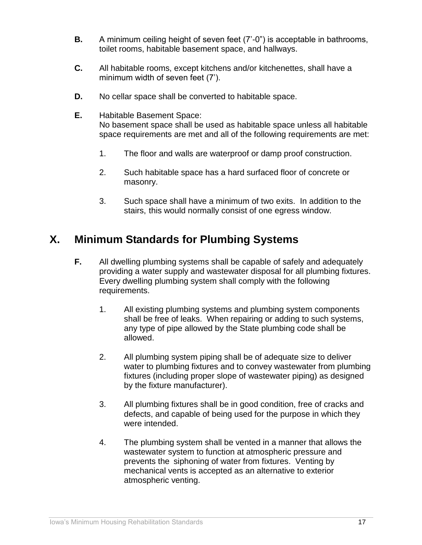- **B.** A minimum ceiling height of seven feet (7'-0") is acceptable in bathrooms, toilet rooms, habitable basement space, and hallways.
- **C.** All habitable rooms, except kitchens and/or kitchenettes, shall have a minimum width of seven feet (7').
- **D.** No cellar space shall be converted to habitable space.
- **E.** Habitable Basement Space: No basement space shall be used as habitable space unless all habitable space requirements are met and all of the following requirements are met:
	- 1. The floor and walls are waterproof or damp proof construction.
	- 2. Such habitable space has a hard surfaced floor of concrete or masonry.
	- 3. Such space shall have a minimum of two exits. In addition to the stairs, this would normally consist of one egress window.

# <span id="page-22-0"></span>**X. Minimum Standards for Plumbing Systems**

- **F.** All dwelling plumbing systems shall be capable of safely and adequately providing a water supply and wastewater disposal for all plumbing fixtures. Every dwelling plumbing system shall comply with the following requirements.
	- 1. All existing plumbing systems and plumbing system components shall be free of leaks. When repairing or adding to such systems, any type of pipe allowed by the State plumbing code shall be allowed.
	- 2. All plumbing system piping shall be of adequate size to deliver water to plumbing fixtures and to convey wastewater from plumbing fixtures (including proper slope of wastewater piping) as designed by the fixture manufacturer).
	- 3. All plumbing fixtures shall be in good condition, free of cracks and defects, and capable of being used for the purpose in which they were intended.
	- 4. The plumbing system shall be vented in a manner that allows the wastewater system to function at atmospheric pressure and prevents the siphoning of water from fixtures. Venting by mechanical vents is accepted as an alternative to exterior atmospheric venting.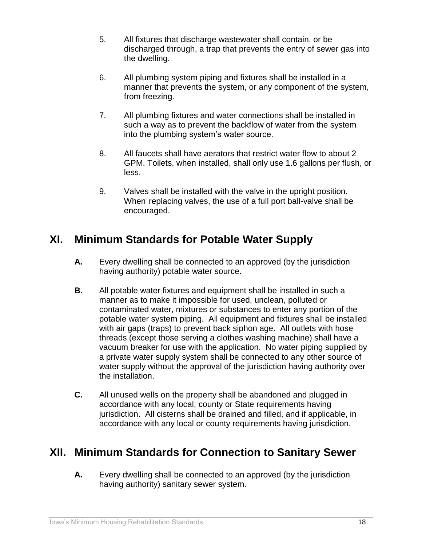- 5. All fixtures that discharge wastewater shall contain, or be discharged through, a trap that prevents the entry of sewer gas into the dwelling.
- 6. All plumbing system piping and fixtures shall be installed in a manner that prevents the system, or any component of the system, from freezing.
- 7. All plumbing fixtures and water connections shall be installed in such a way as to prevent the backflow of water from the system into the plumbing system's water source.
- 8. All faucets shall have aerators that restrict water flow to about 2 GPM. Toilets, when installed, shall only use 1.6 gallons per flush, or less.
- 9. Valves shall be installed with the valve in the upright position. When replacing valves, the use of a full port ball-valve shall be encouraged.

# <span id="page-23-0"></span>**XI. Minimum Standards for Potable Water Supply**

- **A.** Every dwelling shall be connected to an approved (by the jurisdiction having authority) potable water source.
- **B.** All potable water fixtures and equipment shall be installed in such a manner as to make it impossible for used, unclean, polluted or contaminated water, mixtures or substances to enter any portion of the potable water system piping. All equipment and fixtures shall be installed with air gaps (traps) to prevent back siphon age. All outlets with hose threads (except those serving a clothes washing machine) shall have a vacuum breaker for use with the application. No water piping supplied by a private water supply system shall be connected to any other source of water supply without the approval of the jurisdiction having authority over the installation.
- **C.** All unused wells on the property shall be abandoned and plugged in accordance with any local, county or State requirements having jurisdiction. All cisterns shall be drained and filled, and if applicable, in accordance with any local or county requirements having jurisdiction.

# <span id="page-23-1"></span>**XII. Minimum Standards for Connection to Sanitary Sewer**

**A.** Every dwelling shall be connected to an approved (by the jurisdiction having authority) sanitary sewer system.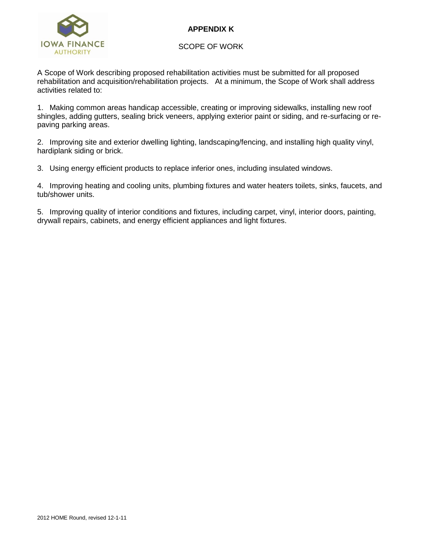

# **APPENDIX K**

SCOPE OF WORK

A Scope of Work describing proposed rehabilitation activities must be submitted for all proposed rehabilitation and acquisition/rehabilitation projects. At a minimum, the Scope of Work shall address activities related to:

1. Making common areas handicap accessible, creating or improving sidewalks, installing new roof shingles, adding gutters, sealing brick veneers, applying exterior paint or siding, and re-surfacing or repaving parking areas.

2. Improving site and exterior dwelling lighting, landscaping/fencing, and installing high quality vinyl, hardiplank siding or brick.

3. Using energy efficient products to replace inferior ones, including insulated windows.

4. Improving heating and cooling units, plumbing fixtures and water heaters toilets, sinks, faucets, and tub/shower units.

5. Improving quality of interior conditions and fixtures, including carpet, vinyl, interior doors, painting, drywall repairs, cabinets, and energy efficient appliances and light fixtures.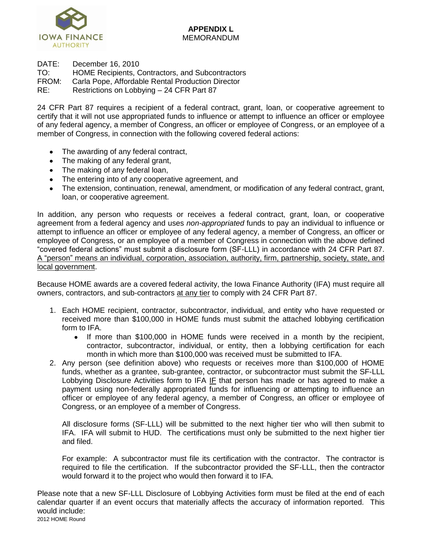

DATE: December 16, 2010

TO: HOME Recipients, Contractors, and Subcontractors

FROM: Carla Pope, Affordable Rental Production Director

RE: Restrictions on Lobbying – 24 CFR Part 87

24 CFR Part 87 requires a recipient of a federal contract, grant, loan, or cooperative agreement to certify that it will not use appropriated funds to influence or attempt to influence an officer or employee of any federal agency, a member of Congress, an officer or employee of Congress, or an employee of a member of Congress, in connection with the following covered federal actions:

- The awarding of any federal contract,
- The making of any federal grant,
- The making of any federal loan,
- The entering into of any cooperative agreement, and
- The extension, continuation, renewal, amendment, or modification of any federal contract, grant, loan, or cooperative agreement.

In addition, any person who requests or receives a federal contract, grant, loan, or cooperative agreement from a federal agency and uses *non-appropriated* funds to pay an individual to influence or attempt to influence an officer or employee of any federal agency, a member of Congress, an officer or employee of Congress, or an employee of a member of Congress in connection with the above defined "covered federal actions" must submit a disclosure form (SF-LLL) in accordance with 24 CFR Part 87. A "person" means an individual, corporation, association, authority, firm, partnership, society, state, and local government.

Because HOME awards are a covered federal activity, the Iowa Finance Authority (IFA) must require all owners, contractors, and sub-contractors at any tier to comply with 24 CFR Part 87.

- 1. Each HOME recipient, contractor, subcontractor, individual, and entity who have requested or received more than \$100,000 in HOME funds must submit the attached lobbying certification form to IFA.
	- If more than \$100,000 in HOME funds were received in a month by the recipient, contractor, subcontractor, individual, or entity, then a lobbying certification for each month in which more than \$100,000 was received must be submitted to IFA.
- 2. Any person (see definition above) who requests or receives more than \$100,000 of HOME funds, whether as a grantee, sub-grantee, contractor, or subcontractor must submit the SF-LLL Lobbying Disclosure Activities form to IFA IF that person has made or has agreed to make a payment using non-federally appropriated funds for influencing or attempting to influence an officer or employee of any federal agency, a member of Congress, an officer or employee of Congress, or an employee of a member of Congress.

All disclosure forms (SF-LLL) will be submitted to the next higher tier who will then submit to IFA. IFA will submit to HUD. The certifications must only be submitted to the next higher tier and filed.

For example: A subcontractor must file its certification with the contractor. The contractor is required to file the certification. If the subcontractor provided the SF-LLL, then the contractor would forward it to the project who would then forward it to IFA.

2012 HOME Round Please note that a new SF-LLL Disclosure of Lobbying Activities form must be filed at the end of each calendar quarter if an event occurs that materially affects the accuracy of information reported. This would include: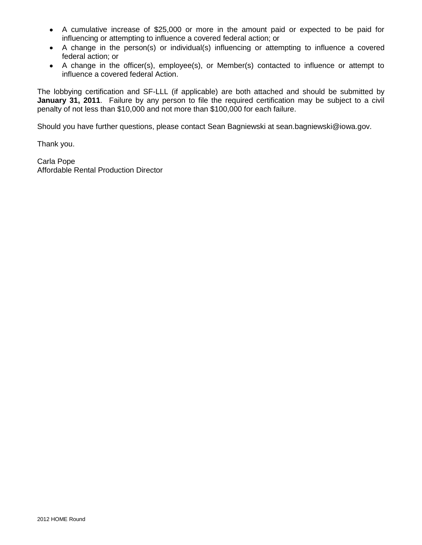- A cumulative increase of \$25,000 or more in the amount paid or expected to be paid for influencing or attempting to influence a covered federal action; or
- A change in the person(s) or individual(s) influencing or attempting to influence a covered federal action; or
- A change in the officer(s), employee(s), or Member(s) contacted to influence or attempt to influence a covered federal Action.

The lobbying certification and SF-LLL (if applicable) are both attached and should be submitted by **January 31, 2011**. Failure by any person to file the required certification may be subject to a civil penalty of not less than \$10,000 and not more than \$100,000 for each failure.

Should you have further questions, please contact Sean Bagniewski at sean.bagniewski@iowa.gov.

Thank you.

Carla Pope Affordable Rental Production Director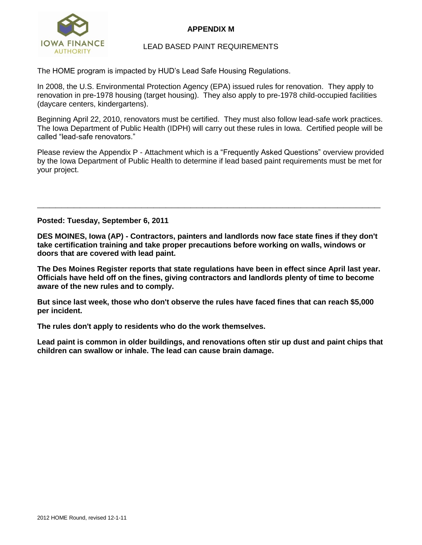

# **APPENDIX M**

# LEAD BASED PAINT REQUIREMENTS

The HOME program is impacted by HUD's Lead Safe Housing Regulations.

In 2008, the U.S. Environmental Protection Agency (EPA) issued rules for renovation. They apply to renovation in pre-1978 housing (target housing). They also apply to pre-1978 child-occupied facilities (daycare centers, kindergartens).

Beginning April 22, 2010, renovators must be certified. They must also follow lead-safe work practices. The Iowa Department of Public Health (IDPH) will carry out these rules in Iowa. Certified people will be called "lead-safe renovators."

Please review the Appendix P - Attachment which is a "Frequently Asked Questions" overview provided by the Iowa Department of Public Health to determine if lead based paint requirements must be met for your project.

### **Posted: Tuesday, September 6, 2011**

**DES MOINES, Iowa (AP) - Contractors, painters and landlords now face state fines if they don't take certification training and take proper precautions before working on walls, windows or doors that are covered with lead paint.**

**\_\_\_\_\_\_\_\_\_\_\_\_\_\_\_\_\_\_\_\_\_\_\_\_\_\_\_\_\_\_\_\_\_\_\_\_\_\_\_\_\_\_\_\_\_\_\_\_\_\_\_\_\_\_\_\_**

**The Des Moines Register reports that state regulations have been in effect since April last year. Officials have held off on the fines, giving contractors and landlords plenty of time to become aware of the new rules and to comply.**

**But since last week, those who don't observe the rules have faced fines that can reach \$5,000 per incident.**

**The rules don't apply to residents who do the work themselves.**

**Lead paint is common in older buildings, and renovations often stir up dust and paint chips that children can swallow or inhale. The lead can cause brain damage.**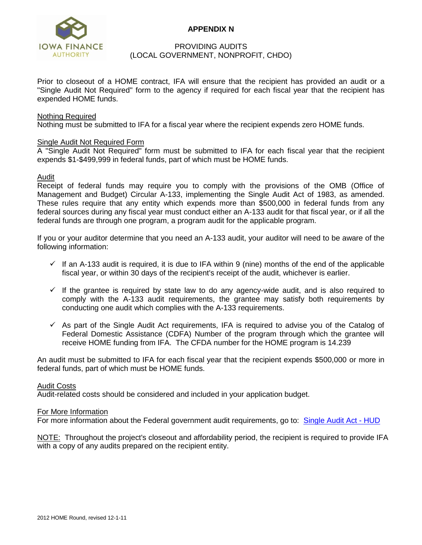

# **APPENDIX N**

### PROVIDING AUDITS (LOCAL GOVERNMENT, NONPROFIT, CHDO)

Prior to closeout of a HOME contract, IFA will ensure that the recipient has provided an audit or a "Single Audit Not Required" form to the agency if required for each fiscal year that the recipient has expended HOME funds.

#### Nothing Required

Nothing must be submitted to IFA for a fiscal year where the recipient expends zero HOME funds.

### Single Audit Not Required Form

A "Single Audit Not Required" form must be submitted to IFA for each fiscal year that the recipient expends \$1-\$499,999 in federal funds, part of which must be HOME funds.

### Audit

Receipt of federal funds may require you to comply with the provisions of the OMB (Office of Management and Budget) Circular A-133, implementing the Single Audit Act of 1983, as amended. These rules require that any entity which expends more than \$500,000 in federal funds from any federal sources during any fiscal year must conduct either an A-133 audit for that fiscal year, or if all the federal funds are through one program, a program audit for the applicable program.

If you or your auditor determine that you need an A-133 audit, your auditor will need to be aware of the following information:

- $\checkmark$  If an A-133 audit is required, it is due to IFA within 9 (nine) months of the end of the applicable fiscal year, or within 30 days of the recipient's receipt of the audit, whichever is earlier.
- $\checkmark$  If the grantee is required by state law to do any agency-wide audit, and is also required to comply with the A-133 audit requirements, the grantee may satisfy both requirements by conducting one audit which complies with the A-133 requirements.
- $\checkmark$  As part of the Single Audit Act requirements, IFA is required to advise you of the Catalog of Federal Domestic Assistance (CDFA) Number of the program through which the grantee will receive HOME funding from IFA. The CFDA number for the HOME program is 14.239

An audit must be submitted to IFA for each fiscal year that the recipient expends \$500,000 or more in federal funds, part of which must be HOME funds.

#### Audit Costs

Audit-related costs should be considered and included in your application budget.

#### For More Information

For more information about the Federal government audit requirements, go to: [Single Audit Act -](http://www.hud.gov/offices/reac/products/qass/single_audthrd.cfm) HUD

NOTE: Throughout the project's closeout and affordability period, the recipient is required to provide IFA with a copy of any audits prepared on the recipient entity.